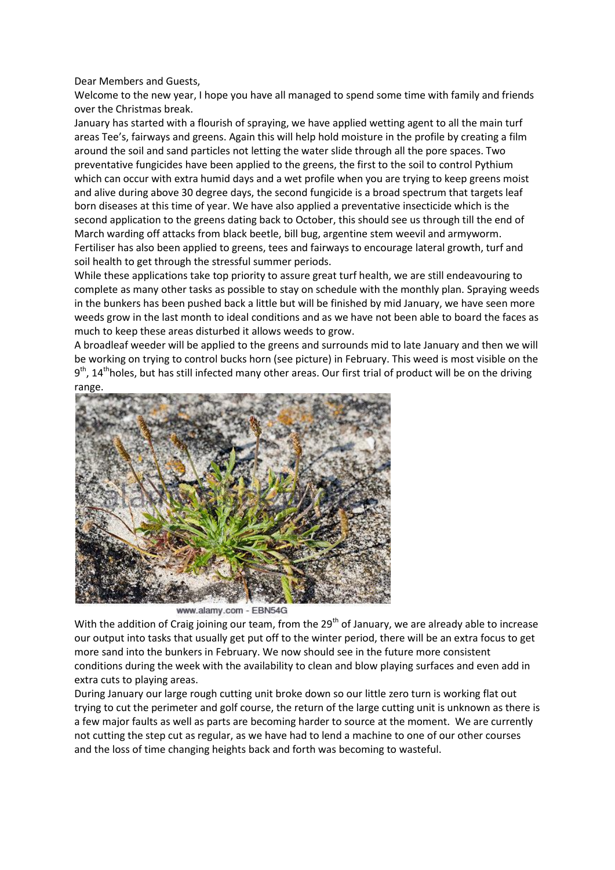Dear Members and Guests,

Welcome to the new year, I hope you have all managed to spend some time with family and friends over the Christmas break.

January has started with a flourish of spraying, we have applied wetting agent to all the main turf areas Tee's, fairways and greens. Again this will help hold moisture in the profile by creating a film around the soil and sand particles not letting the water slide through all the pore spaces. Two preventative fungicides have been applied to the greens, the first to the soil to control Pythium which can occur with extra humid days and a wet profile when you are trying to keep greens moist and alive during above 30 degree days, the second fungicide is a broad spectrum that targets leaf born diseases at this time of year. We have also applied a preventative insecticide which is the second application to the greens dating back to October, this should see us through till the end of March warding off attacks from black beetle, bill bug, argentine stem weevil and armyworm. Fertiliser has also been applied to greens, tees and fairways to encourage lateral growth, turf and soil health to get through the stressful summer periods.

While these applications take top priority to assure great turf health, we are still endeavouring to complete as many other tasks as possible to stay on schedule with the monthly plan. Spraying weeds in the bunkers has been pushed back a little but will be finished by mid January, we have seen more weeds grow in the last month to ideal conditions and as we have not been able to board the faces as much to keep these areas disturbed it allows weeds to grow.

A broadleaf weeder will be applied to the greens and surrounds mid to late January and then we will be working on trying to control bucks horn (see picture) in February. This weed is most visible on the 9<sup>th</sup>, 14<sup>th</sup>holes, but has still infected many other areas. Our first trial of product will be on the driving range.



www.alamy.com - EBN54G

With the addition of Craig joining our team, from the 29<sup>th</sup> of January, we are already able to increase our output into tasks that usually get put off to the winter period, there will be an extra focus to get more sand into the bunkers in February. We now should see in the future more consistent conditions during the week with the availability to clean and blow playing surfaces and even add in extra cuts to playing areas.

During January our large rough cutting unit broke down so our little zero turn is working flat out trying to cut the perimeter and golf course, the return of the large cutting unit is unknown as there is a few major faults as well as parts are becoming harder to source at the moment. We are currently not cutting the step cut as regular, as we have had to lend a machine to one of our other courses and the loss of time changing heights back and forth was becoming to wasteful.